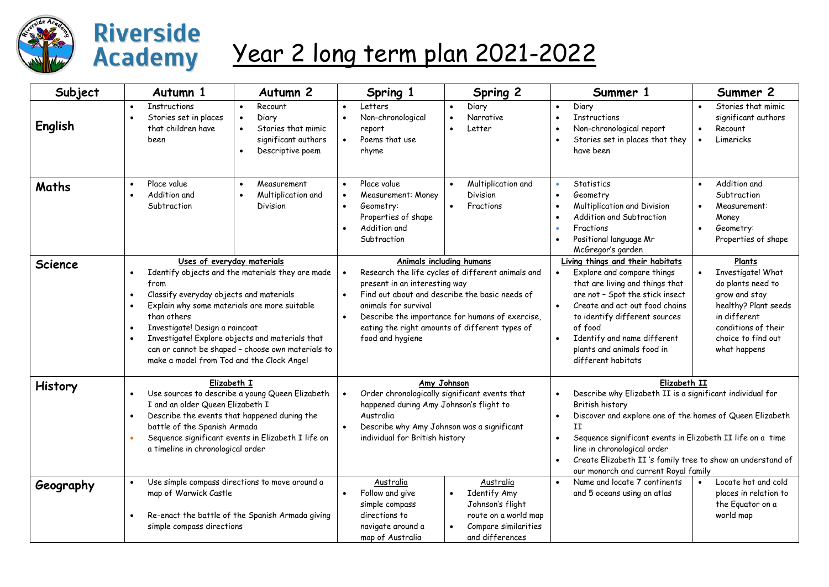

## **Riverside Academy**

## Year 2 long term plan 2021-2022

| Subject        | Autumn 1                                                                                | Autumn <sub>2</sub>                                                                                                                                                                                                                                                                                                                                              |                                                  | Spring 1                                                                                                                                                                                             |                                                                                                                                                                                                                                                                                                                                                    | Spring 2                                                                                                                |                                                                                                                                                                                                                                                                                                                                                                                | Summer 1                                                                                                                                                                                                                                                                                              |                        | Summer 2                                                                                                                                                               |  |
|----------------|-----------------------------------------------------------------------------------------|------------------------------------------------------------------------------------------------------------------------------------------------------------------------------------------------------------------------------------------------------------------------------------------------------------------------------------------------------------------|--------------------------------------------------|------------------------------------------------------------------------------------------------------------------------------------------------------------------------------------------------------|----------------------------------------------------------------------------------------------------------------------------------------------------------------------------------------------------------------------------------------------------------------------------------------------------------------------------------------------------|-------------------------------------------------------------------------------------------------------------------------|--------------------------------------------------------------------------------------------------------------------------------------------------------------------------------------------------------------------------------------------------------------------------------------------------------------------------------------------------------------------------------|-------------------------------------------------------------------------------------------------------------------------------------------------------------------------------------------------------------------------------------------------------------------------------------------------------|------------------------|------------------------------------------------------------------------------------------------------------------------------------------------------------------------|--|
| English        | <b>Instructions</b><br>$\bullet$<br>Stories set in places<br>that children have<br>been | Recount<br>Diary<br>$\bullet$<br>Stories that mimic<br>$\bullet$<br>significant authors<br>Descriptive poem<br>$\bullet$                                                                                                                                                                                                                                         | $\bullet$<br>$\bullet$                           | Letters<br>Non-chronological<br>report<br>Poems that use<br>rhyme                                                                                                                                    |                                                                                                                                                                                                                                                                                                                                                    | Diary<br>Narrative<br>Letter                                                                                            | $\bullet$<br>$\bullet$                                                                                                                                                                                                                                                                                                                                                         | Diary<br><b>Instructions</b><br>Non-chronological report<br>Stories set in places that they<br>have been                                                                                                                                                                                              | $\bullet$<br>$\bullet$ | Stories that mimic<br>significant authors<br>Recount<br>Limericks                                                                                                      |  |
| Maths          | Place value<br>$\bullet$<br>Addition and<br>$\bullet$<br>Subtraction                    | Measurement<br>$\bullet$<br>Multiplication and<br>$\bullet$<br>Division                                                                                                                                                                                                                                                                                          | $\bullet$<br>$\bullet$<br>$\bullet$<br>$\bullet$ | Place value<br>Measurement: Money<br>Geometry:<br>Properties of shape<br>Addition and<br>Subtraction                                                                                                 | $\bullet$<br>$\bullet$                                                                                                                                                                                                                                                                                                                             | Multiplication and<br>Division<br>Fractions                                                                             | $\bullet$<br>$\bullet$<br>$\bullet$                                                                                                                                                                                                                                                                                                                                            | Statistics<br>Geometry<br>Multiplication and Division<br>Addition and Subtraction<br>Fractions<br>Positional language Mr<br>McGregor's garden                                                                                                                                                         | $\bullet$              | Addition and<br>Subtraction<br>Measurement:<br>Money<br>Geometry:<br>Properties of shape                                                                               |  |
| <b>Science</b> | from<br>$\bullet$<br>$\bullet$<br>than others<br>$\bullet$                              | Uses of everyday materials<br>Identify objects and the materials they are made<br>Classify everyday objects and materials<br>Explain why some materials are more suitable<br>Investigate! Design a raincoat<br>Investigate! Explore objects and materials that<br>can or cannot be shaped - choose own materials to<br>make a model from Tod and the Clock Angel |                                                  |                                                                                                                                                                                                      | <b>Animals including humans</b><br>Research the life cycles of different animals and<br>present in an interesting way<br>Find out about and describe the basic needs of<br>$\bullet$<br>animals for survival<br>Describe the importance for humans of exercise,<br>$\bullet$<br>eating the right amounts of different types of<br>food and hygiene |                                                                                                                         |                                                                                                                                                                                                                                                                                                                                                                                | Living things and their habitats<br>Explore and compare things<br>that are living and things that<br>are not - Spot the stick insect<br>Create and act out food chains<br>to identify different sources<br>of food<br>Identify and name different<br>plants and animals food in<br>different habitats |                        | Plants<br>Investigate! What<br>do plants need to<br>grow and stay<br>healthy? Plant seeds<br>in different<br>conditions of their<br>choice to find out<br>what happens |  |
| History        | $\bullet$                                                                               | Elizabeth I<br>Use sources to describe a young Queen Elizabeth<br>I and an older Queen Elizabeth I<br>Describe the events that happened during the<br>battle of the Spanish Armada<br>Sequence significant events in Elizabeth I life on<br>a timeline in chronological order                                                                                    |                                                  | Amy Johnson<br>Order chronologically significant events that<br>happened during Amy Johnson's flight to<br>Australia<br>Describe why Amy Johnson was a significant<br>individual for British history |                                                                                                                                                                                                                                                                                                                                                    |                                                                                                                         | Elizabeth II<br>Describe why Elizabeth II is a significant individual for<br>$\bullet$<br>British history<br>Discover and explore one of the homes of Queen Elizabeth<br>II<br>Sequence significant events in Elizabeth II life on a time<br>line in chronological order<br>Create Elizabeth II's family tree to show an understand of<br>our monarch and current Royal family |                                                                                                                                                                                                                                                                                                       |                        |                                                                                                                                                                        |  |
| Geography      | $\bullet$<br>map of Warwick Castle<br>simple compass directions                         | Use simple compass directions to move around a<br>Re-enact the battle of the Spanish Armada giving                                                                                                                                                                                                                                                               |                                                  | Australia<br>Follow and give<br>simple compass<br>directions to<br>navigate around a<br>map of Australia                                                                                             |                                                                                                                                                                                                                                                                                                                                                    | Australia<br><b>Identify Amy</b><br>Johnson's flight<br>route on a world map<br>Compare similarities<br>and differences |                                                                                                                                                                                                                                                                                                                                                                                | Name and locate 7 continents<br>and 5 oceans using an atlas                                                                                                                                                                                                                                           |                        | Locate hot and cold<br>places in relation to<br>the Eguator on a<br>world map                                                                                          |  |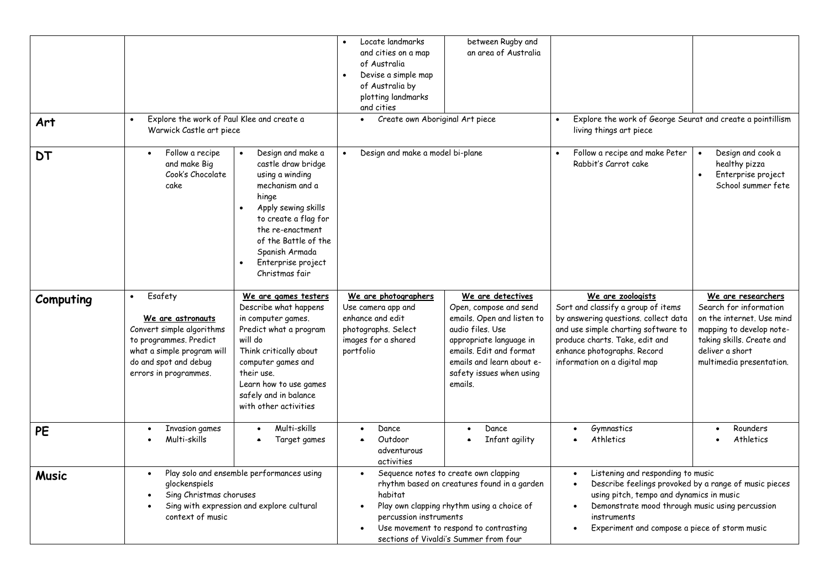| Art          | Explore the work of Paul Klee and create a<br>$\bullet$<br>Warwick Castle art piece                                                                                              |                                                                                                                                                                                                                                                                       | Locate landmarks<br>and cities on a map<br>of Australia<br>Devise a simple map<br>of Australia by<br>plotting landmarks<br>and cities<br>Create own Aboriginal Art piece<br>Design and make a model bi-plane | between Rugby and<br>an area of Australia                                                                                                                                                                               | Explore the work of George Seurat and create a pointillism<br>living things art piece                                                                                                                                                                     |                                                                                                                                                                                   |  |
|--------------|----------------------------------------------------------------------------------------------------------------------------------------------------------------------------------|-----------------------------------------------------------------------------------------------------------------------------------------------------------------------------------------------------------------------------------------------------------------------|--------------------------------------------------------------------------------------------------------------------------------------------------------------------------------------------------------------|-------------------------------------------------------------------------------------------------------------------------------------------------------------------------------------------------------------------------|-----------------------------------------------------------------------------------------------------------------------------------------------------------------------------------------------------------------------------------------------------------|-----------------------------------------------------------------------------------------------------------------------------------------------------------------------------------|--|
| <b>DT</b>    | Follow a recipe<br>and make Big<br>Cook's Chocolate<br>cake                                                                                                                      | Design and make a<br>castle draw bridge<br>using a winding<br>mechanism and a<br>hinge<br>Apply sewing skills<br>$\bullet$<br>to create a flag for<br>the re-enactment<br>of the Battle of the<br>Spanish Armada<br>Enterprise project<br>$\bullet$<br>Christmas fair |                                                                                                                                                                                                              |                                                                                                                                                                                                                         | Follow a recipe and make Peter<br>Rabbit's Carrot cake                                                                                                                                                                                                    | Design and cook a<br>healthy pizza<br>Enterprise project<br>School summer fete                                                                                                    |  |
| Computing    | Esafety<br>$\bullet$<br>We are astronauts<br>Convert simple algorithms<br>to programmes. Predict<br>what a simple program will<br>do and spot and debug<br>errors in programmes. | We are games testers<br>Describe what happens<br>in computer games.<br>Predict what a program<br>will do<br>Think critically about<br>computer games and<br>their use.<br>Learn how to use games<br>safely and in balance<br>with other activities                    | We are photographers<br>Use camera app and<br>enhance and edit<br>photographs. Select<br>images for a shared<br>portfolio                                                                                    | We are detectives<br>Open, compose and send<br>emails. Open and listen to<br>audio files. Use<br>appropriate language in<br>emails. Edit and format<br>emails and learn about e-<br>safety issues when using<br>emails. | We are zoologists<br>Sort and classify a group of items<br>by answering questions. collect data<br>and use simple charting software to<br>produce charts. Take, edit and<br>enhance photographs. Record<br>information on a digital map                   | We are researchers<br>Search for information<br>on the internet. Use mind<br>mapping to develop note-<br>taking skills. Create and<br>deliver a short<br>multimedia presentation. |  |
| <b>PE</b>    | Invasion games<br>Multi-skills                                                                                                                                                   | Multi-skills<br>Target games                                                                                                                                                                                                                                          | Dance<br>Outdoor<br>adventurous<br>activities                                                                                                                                                                | Dance<br>$\bullet$<br>Infant agility                                                                                                                                                                                    | Gymnastics<br>$\bullet$<br>Athletics                                                                                                                                                                                                                      | Rounders<br>$\bullet$<br>Athletics                                                                                                                                                |  |
| <b>Music</b> | Play solo and ensemble performances using<br>$\bullet$<br>glockenspiels<br>Sing Christmas choruses<br>Sing with expression and explore cultural<br>context of music              |                                                                                                                                                                                                                                                                       | $\bullet$<br>habitat<br>percussion instruments                                                                                                                                                               | Sequence notes to create own clapping<br>rhythm based on creatures found in a garden<br>Play own clapping rhythm using a choice of<br>Use movement to respond to contrasting<br>sections of Vivaldi's Summer from four  | Listening and responding to music<br>Describe feelings provoked by a range of music pieces<br>using pitch, tempo and dynamics in music<br>Demonstrate mood through music using percussion<br>instruments<br>Experiment and compose a piece of storm music |                                                                                                                                                                                   |  |